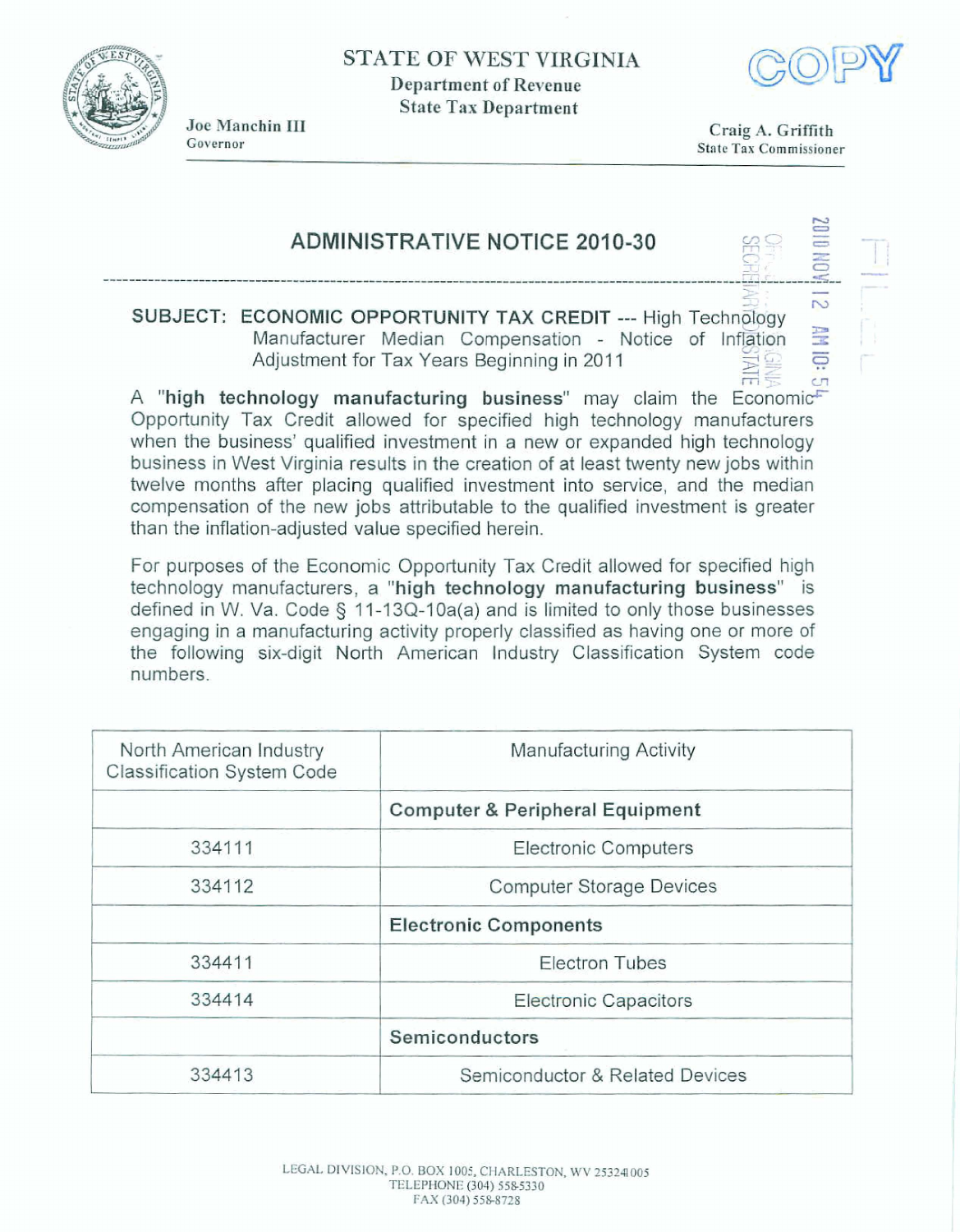**STATE OF WEST VIRGINIA Department of Revenue** 

**State Tax Department** 



Joe Manchin III Governor

Craig A. Griffith **State Tax Commissioner** 

 $\tau$ 

 $\frac{1}{\sqrt{2}}$ 

# **ADMINISTRATIVE NOTICE 2010-30**

SUBJECT: ECONOMIC OPPORTUNITY TAX CREDIT --- High Technology Manufacturer Median Compensation - Notice of Inflation Adjustment for Tax Years Beginning in 2011

 $\overline{C}$ A "high technology manufacturing business" may claim the Economic Opportunity Tax Credit allowed for specified high technology manufacturers when the business' qualified investment in a new or expanded high technology business in West Virginia results in the creation of at least twenty new jobs within twelve months after placing qualified investment into service, and the median compensation of the new jobs attributable to the qualified investment is greater than the inflation-adjusted value specified herein.

For purposes of the Economic Opportunity Tax Credit allowed for specified high technology manufacturers, a "high technology manufacturing business" is defined in W. Va. Code § 11-13Q-10a(a) and is limited to only those businesses engaging in a manufacturing activity properly classified as having one or more of the following six-digit North American Industry Classification System code numbers.

| North American Industry<br><b>Classification System Code</b> | Manufacturing Activity                     |
|--------------------------------------------------------------|--------------------------------------------|
|                                                              | <b>Computer &amp; Peripheral Equipment</b> |
| 334111                                                       | <b>Electronic Computers</b>                |
| 334112                                                       | <b>Computer Storage Devices</b>            |
|                                                              | <b>Electronic Components</b>               |
| 334411                                                       | <b>Electron Tubes</b>                      |
| 334414                                                       | <b>Electronic Capacitors</b>               |
|                                                              | Semiconductors                             |
| 334413                                                       | Semiconductor & Related Devices            |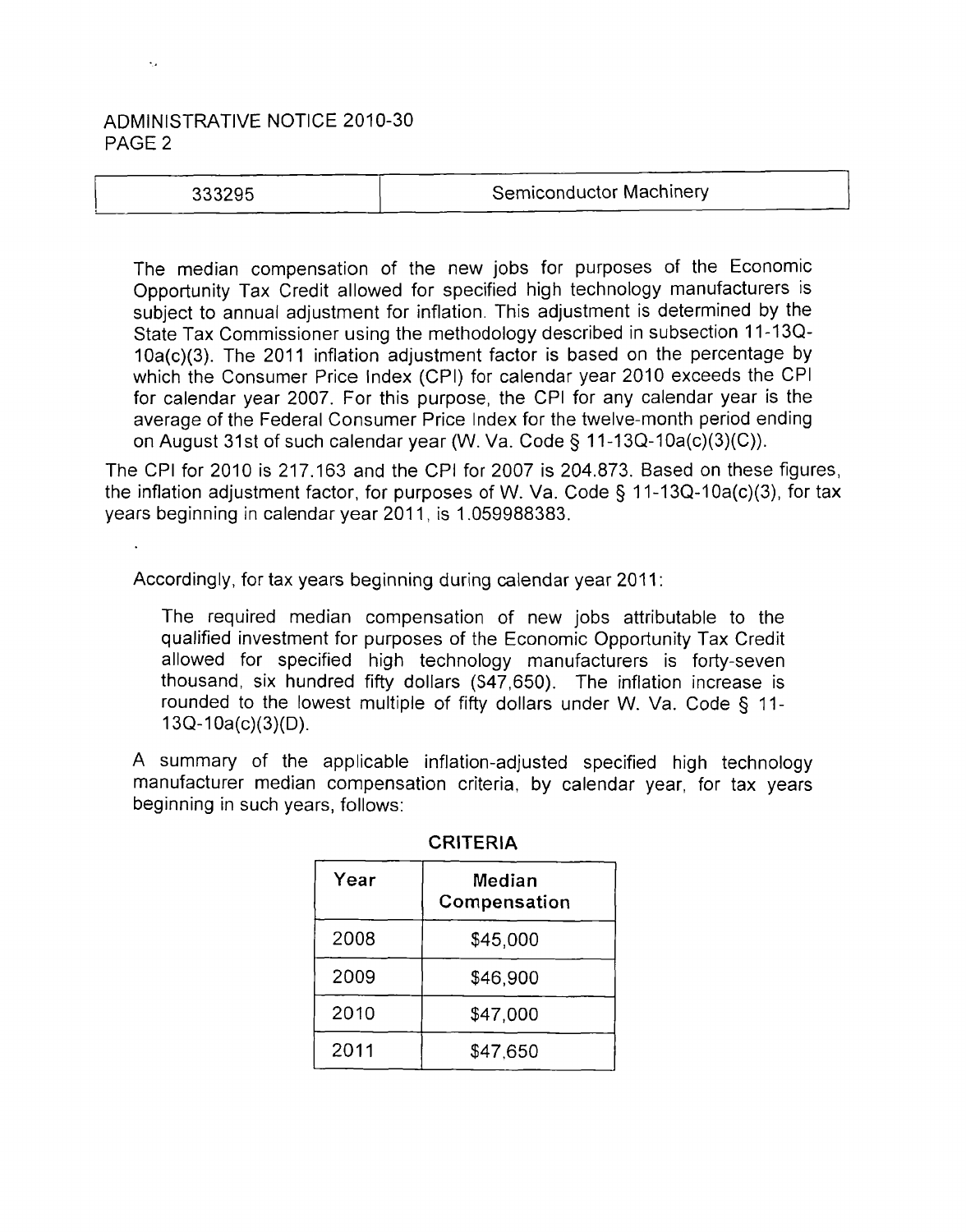## ADMINISTRATIVE NOTICE 2010-30 PAGE 2

## 333295

### Semiconductor Machinery

The median compensation of the new jobs for purposes of the Economic Opportunity Tax Credit allowed for specified high technology manufacturers is subject to annual adjustment for inflation. This adjustment is determined by the State Tax Commissioner using the methodology described in subsection 11-13Q-10a(c)(3). The 2011 inflation adjustment factor is based on the percentage by which the Consumer Price lndex (CPI) for calendar year 2010 exceeds the CPI for calendar year 2007. For this purpose, the CPI for any calendar year is the average of the Federal Consumer Price lndex for the twelve-month period ending on August 31st of such calendar year (W. Va. Code § 11-13Q-10a(c)(3)(C)).

The CPI for 2010 is 217.163 and the CPI for 2007 is 204.873. Based on these figures, the inflation adjustment factor, for purposes of W. Va. Code  $\S$  11-13Q-10a(c)(3), for tax years beginning in calendar year 2011, is 1.059988383.

Accordingly, for tax years beginning during calendar year 2011:

The required median compensation of new jobs attributable to the qualified investment for purposes of the Economic Opportunity Tax Credit allowed for specified high technology manufacturers is forty-seven thousand, six hundred fifty dollars (S47,650). The inflation increase is rounded to the lowest multiple of fifty dollars under W. Va. Code § 11- 13Q-I Oa(c)(3)(D).

A summary of the applicable inflation-adjusted specified high technology manufacturer median compensation criteria, by calendar year, for tax years beginning in such years, follows:

| Year | Median<br>Compensation |
|------|------------------------|
| 2008 | \$45,000               |
| 2009 | \$46,900               |
| 2010 | \$47,000               |
| 2011 | \$47,650               |

#### **CRITERIA**